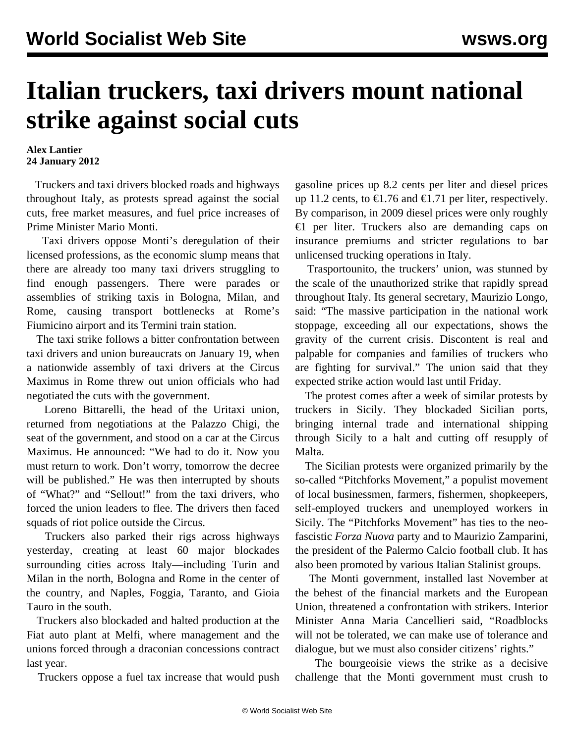## **Italian truckers, taxi drivers mount national strike against social cuts**

**Alex Lantier 24 January 2012**

 Truckers and taxi drivers blocked roads and highways throughout Italy, as protests spread against the social cuts, free market measures, and fuel price increases of Prime Minister Mario Monti.

 Taxi drivers oppose Monti's deregulation of their licensed professions, as the economic slump means that there are already too many taxi drivers struggling to find enough passengers. There were parades or assemblies of striking taxis in Bologna, Milan, and Rome, causing transport bottlenecks at Rome's Fiumicino airport and its Termini train station.

 The taxi strike follows a bitter confrontation between taxi drivers and union bureaucrats on January 19, when a nationwide assembly of taxi drivers at the Circus Maximus in Rome threw out union officials who had negotiated the cuts with the government.

 Loreno Bittarelli, the head of the Uritaxi union, returned from negotiations at the Palazzo Chigi, the seat of the government, and stood on a car at the Circus Maximus. He announced: "We had to do it. Now you must return to work. Don't worry, tomorrow the decree will be published." He was then interrupted by shouts of "What?" and "Sellout!" from the taxi drivers, who forced the union leaders to flee. The drivers then faced squads of riot police outside the Circus.

 Truckers also parked their rigs across highways yesterday, creating at least 60 major blockades surrounding cities across Italy—including Turin and Milan in the north, Bologna and Rome in the center of the country, and Naples, Foggia, Taranto, and Gioia Tauro in the south.

 Truckers also blockaded and halted production at the Fiat auto plant at Melfi, where management and the unions forced through a draconian concessions contract last year.

Truckers oppose a fuel tax increase that would push

gasoline prices up 8.2 cents per liter and diesel prices up 11.2 cents, to €1.76 and €1.71 per liter, respectively. By comparison, in 2009 diesel prices were only roughly €1 per liter. Truckers also are demanding caps on insurance premiums and stricter regulations to bar unlicensed trucking operations in Italy.

 Trasportounito, the truckers' union, was stunned by the scale of the unauthorized strike that rapidly spread throughout Italy. Its general secretary, Maurizio Longo, said: "The massive participation in the national work stoppage, exceeding all our expectations, shows the gravity of the current crisis. Discontent is real and palpable for companies and families of truckers who are fighting for survival." The union said that they expected strike action would last until Friday.

 The protest comes after a week of similar protests by truckers in Sicily. They blockaded Sicilian ports, bringing internal trade and international shipping through Sicily to a halt and cutting off resupply of Malta.

 The Sicilian protests were organized primarily by the so-called "Pitchforks Movement," a populist movement of local businessmen, farmers, fishermen, shopkeepers, self-employed truckers and unemployed workers in Sicily. The "Pitchforks Movement" has ties to the neofascistic *Forza Nuova* party and to Maurizio Zamparini, the president of the Palermo Calcio football club. It has also been promoted by various Italian Stalinist groups.

 The Monti government, installed last November at the behest of the financial markets and the European Union, threatened a confrontation with strikers. Interior Minister Anna Maria Cancellieri said, "Roadblocks will not be tolerated, we can make use of tolerance and dialogue, but we must also consider citizens' rights."

 The bourgeoisie views the strike as a decisive challenge that the Monti government must crush to